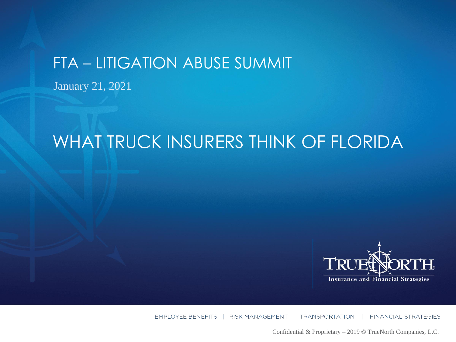### FTA – LITIGATION ABUSE SUMMIT

January 21, 2021

# WHAT TRUCK INSURERS THINK OF FLORIDA



EMPLOYEE BENEFITS | RISK MANAGEMENT | TRANSPORTATION **FINANCIAL STRATEGIES** 

Confidential & Proprietary – 2019 © TrueNorth Companies, L.C.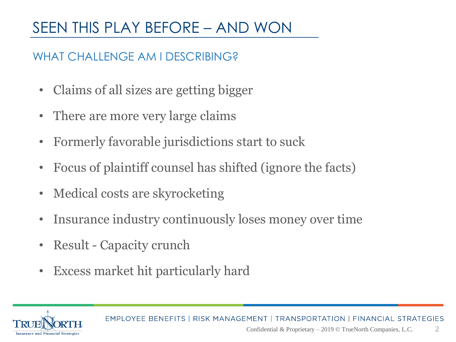## SEEN THIS PLAY BEFORE – AND WON

### WHAT CHALLENGE AM LDESCRIBING?

- Claims of all sizes are getting bigger
- There are more very large claims
- Formerly favorable jurisdictions start to suck
- Focus of plaintiff counsel has shifted (ignore the facts)
- Medical costs are skyrocketing
- Insurance industry continuously loses money over time
- Result Capacity crunch
- Excess market hit particularly hard

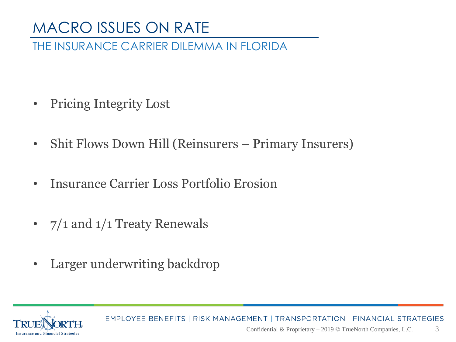## MACRO ISSUES ON RATE

#### THE INSURANCE CARRIER DILEMMA IN FLORIDA

- Pricing Integrity Lost
- Shit Flows Down Hill (Reinsurers Primary Insurers)
- Insurance Carrier Loss Portfolio Erosion
- 7/1 and 1/1 Treaty Renewals
- Larger underwriting backdrop

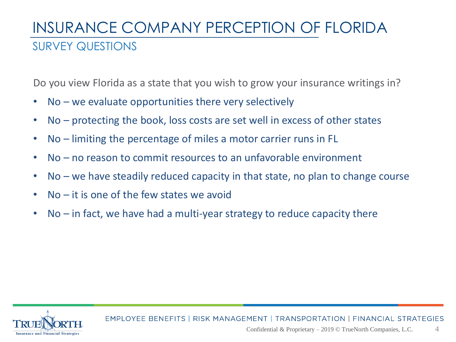## INSURANCE COMPANY PERCEPTION OF FLORIDA SURVEY QUESTIONS

Do you view Florida as a state that you wish to grow your insurance writings in?

- No we evaluate opportunities there very selectively
- No protecting the book, loss costs are set well in excess of other states
- No limiting the percentage of miles a motor carrier runs in FL
- No no reason to commit resources to an unfavorable environment
- No we have steadily reduced capacity in that state, no plan to change course
- No it is one of the few states we avoid
- No in fact, we have had a multi-year strategy to reduce capacity there

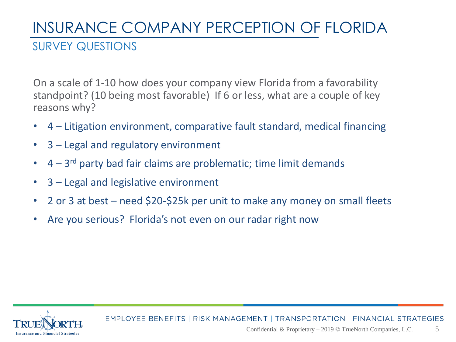## INSURANCE COMPANY PERCEPTION OF FLORIDA SURVEY QUESTIONS

On a scale of 1-10 how does your company view Florida from a favorability standpoint? (10 being most favorable) If 6 or less, what are a couple of key reasons why?

- 4 Litigation environment, comparative fault standard, medical financing
- 3 Legal and regulatory environment
- $\bullet$  4 3<sup>rd</sup> party bad fair claims are problematic; time limit demands
- 3 Legal and legislative environment
- 2 or 3 at best need \$20-\$25k per unit to make any money on small fleets
- Are you serious? Florida's not even on our radar right now

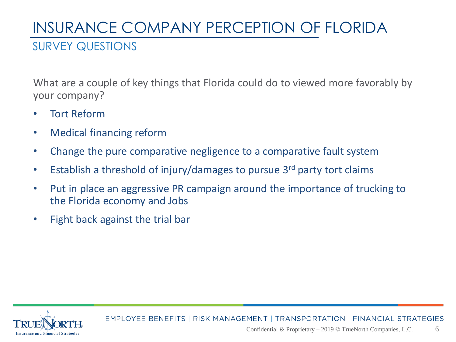# INSURANCE COMPANY PERCEPTION OF FLORIDA

#### SURVEY QUESTIONS

What are a couple of key things that Florida could do to viewed more favorably by your company?

- Tort Reform
- Medical financing reform
- Change the pure comparative negligence to a comparative fault system
- Establish a threshold of injury/damages to pursue 3<sup>rd</sup> party tort claims
- Put in place an aggressive PR campaign around the importance of trucking to the Florida economy and Jobs
- Fight back against the trial bar

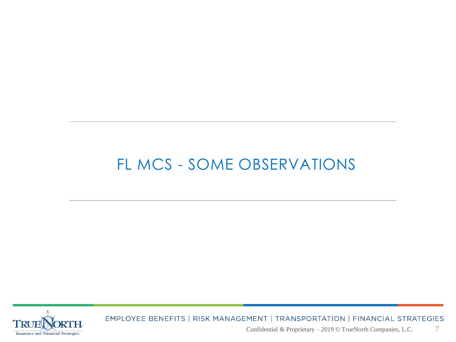## FL MCS - SOME OBSERVATIONS

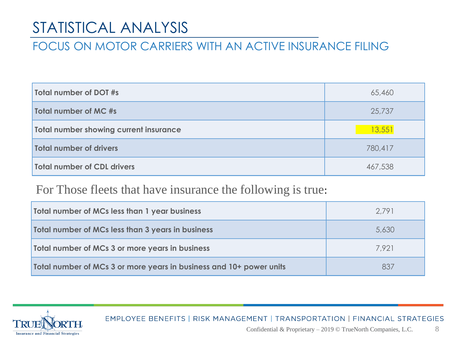## STATISTICAL ANALYSIS

#### FOCUS ON MOTOR CARRIERS WITH AN ACTIVE INSURANCE FILING

| Total number of DOT #s                 | 65,460  |
|----------------------------------------|---------|
| Total number of MC #s                  | 25,737  |
| Total number showing current insurance | 13,551  |
| Total number of drivers                | 780,417 |
| Total number of CDL drivers            | 467,538 |

#### For Those fleets that have insurance the following is true:

| <b>Total number of MCs less than 1 year business</b>                | 2.791 |
|---------------------------------------------------------------------|-------|
| <b>Total number of MCs less than 3 years in business</b>            | 5,630 |
| Total number of MCs 3 or more years in business                     | 7.921 |
| Total number of MCs 3 or more years in business and 10+ power units | 837   |

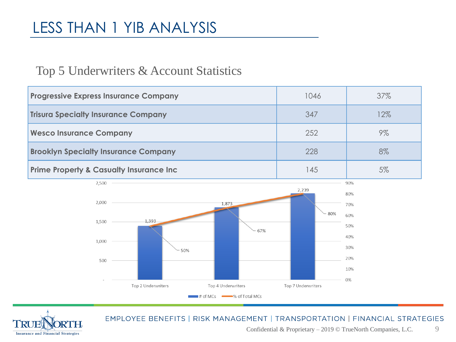## LESS THAN 1 YIB ANALYSIS

#### Top 5 Underwriters & Account Statistics

| <b>Progressive Express Insurance Company</b>        | 1046 | 37%    |
|-----------------------------------------------------|------|--------|
| <b>Trisura Specialty Insurance Company</b>          | 347  | $12\%$ |
| <b>Wesco Insurance Company</b>                      | 252  | 9%     |
| <b>Brooklyn Specialty Insurance Company</b>         | 228  | 8%     |
| <b>Prime Property &amp; Casualty Insurance Inc.</b> | 145  | 5%     |



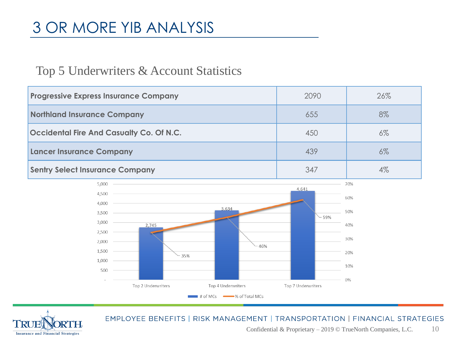## 3 OR MORE YIB ANALYSIS

#### Top 5 Underwriters & Account Statistics

| <b>Progressive Express Insurance Company</b> | 2090 | 26%   |
|----------------------------------------------|------|-------|
| <b>Northland Insurance Company</b>           | 655  | 8%    |
| Occidental Fire And Casualty Co. Of N.C.     | 450  | $6\%$ |
| <b>Lancer Insurance Company</b>              | 439  | $6\%$ |
| <b>Sentry Select Insurance Company</b>       | 347  | 4%    |



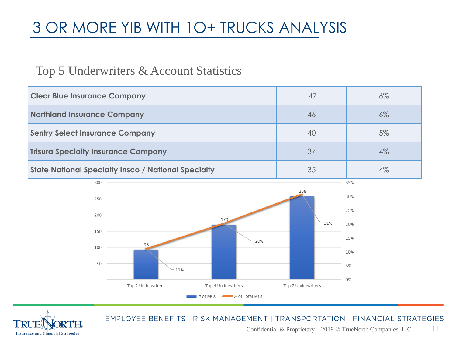## 3 OR MORE YIB WITH 1O+ TRUCKS ANALYSIS

#### Top 5 Underwriters & Account Statistics

| <b>Clear Blue Insurance Company</b>                        | 47 | $6\%$ |
|------------------------------------------------------------|----|-------|
| Northland Insurance Company                                | 46 | $6\%$ |
| <b>Sentry Select Insurance Company</b>                     | 40 | 5%    |
| <b>Trisura Specialty Insurance Company</b>                 | 37 | $4\%$ |
| <b>State National Specialty Insco / National Specialty</b> | 35 | 4%    |



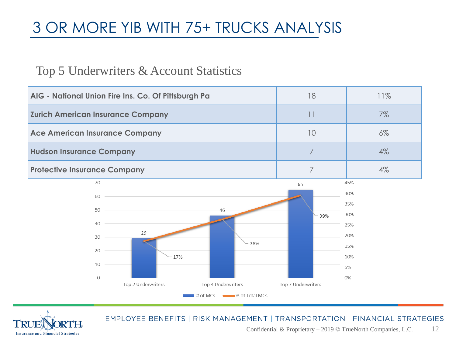## 3 OR MORE YIB WITH 75+ TRUCKS ANALYSIS

#### Top 5 Underwriters & Account Statistics

| AIG - National Union Fire Ins. Co. Of Pittsburgh Pa | 18                 | 11%   |
|-----------------------------------------------------|--------------------|-------|
| <b>Zurich American Insurance Company</b>            | 11                 | 7%    |
| <b>Ace American Insurance Company</b>               | 10                 | $6\%$ |
| <b>Hudson Insurance Company</b>                     | 7                  | $4\%$ |
| <b>Protective Insurance Company</b>                 | 7                  | $4\%$ |
| $70$ $\qquad$                                       | 65                 | 45%   |
| 60                                                  |                    | 40%   |
| $50 -$<br>46                                        |                    | 35%   |
|                                                     | 39%                | 30%   |
| 40                                                  |                    | 25%   |
| 29<br>30                                            |                    | 20%   |
| 28%<br>20                                           |                    | 15%   |
| 17%                                                 |                    | 10%   |
| 10                                                  |                    | 5%    |
| $\Omega$                                            |                    | 0%    |
| Top 2 Underwriters<br>Top 4 Underwriters            | Top 7 Underwriters |       |
| # of MCs $\longrightarrow$ % of Total MCs           |                    |       |

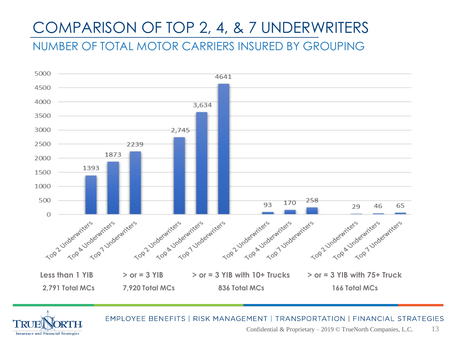## COMPARISON OF TOP 2, 4, & 7 UNDERWRITERS

NUMBER OF TOTAL MOTOR CARRIERS INSURED BY GROUPING



**Insurance and Financial Strategies**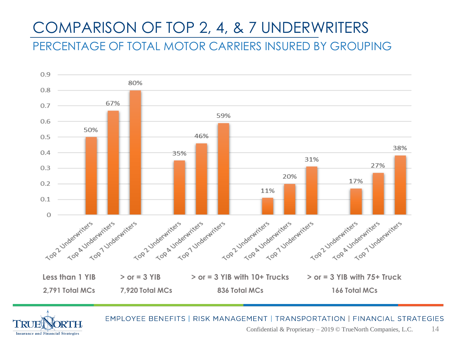## COMPARISON OF TOP 2, 4, & 7 UNDERWRITERS

PERCENTAGE OF TOTAL MOTOR CARRIERS INSURED BY GROUPING



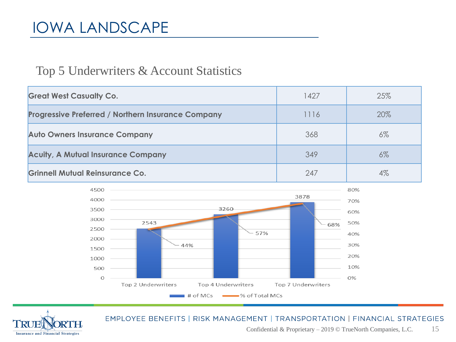## IOWA LANDSCAPE

#### Top 5 Underwriters & Account Statistics

| <b>Great West Casualty Co.</b>                            | 1427 | 25%   |
|-----------------------------------------------------------|------|-------|
| <b>Progressive Preferred / Northern Insurance Company</b> | 1116 | 20%   |
| <b>Auto Owners Insurance Company</b>                      | 368  | $6\%$ |
| <b>Acuity, A Mutual Insurance Company</b>                 | 349  | $6\%$ |
| <b>Grinnell Mutual Reinsurance Co.</b>                    | 247  | $4\%$ |



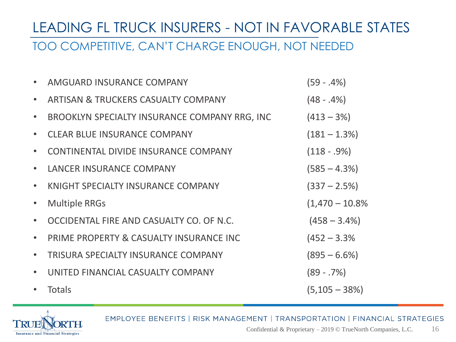# LEADING FL TRUCK INSURERS - NOT IN FAVORABLE STATES

#### TOO COMPETITIVE, CAN'T CHARGE ENOUGH, NOT NEEDED

|           | AMGUARD INSURANCE COMPANY                     | $(59 - .4%)$       |
|-----------|-----------------------------------------------|--------------------|
|           | ARTISAN & TRUCKERS CASUALTY COMPANY           | $(48 - .4%)$       |
|           | BROOKLYN SPECIALTY INSURANCE COMPANY RRG, INC | $(413 - 3\%)$      |
|           | <b>CLEAR BLUE INSURANCE COMPANY</b>           | $(181 - 1.3\%)$    |
|           | CONTINENTAL DIVIDE INSURANCE COMPANY          | $(118 - .9\%)$     |
| $\bullet$ | <b>LANCER INSURANCE COMPANY</b>               | $(585 - 4.3\%)$    |
| $\bullet$ | KNIGHT SPECIALTY INSURANCE COMPANY            | $(337 - 2.5\%)$    |
| $\bullet$ | <b>Multiple RRGs</b>                          | $(1,470 - 10.8\%)$ |
|           | OCCIDENTAL FIRE AND CASUALTY CO. OF N.C.      | $(458 - 3.4\%)$    |
| $\bullet$ | PRIME PROPERTY & CASUALTY INSURANCE INC       | $(452 - 3.3\%)$    |
|           | TRISURA SPECIALTY INSURANCE COMPANY           | $(895 - 6.6\%)$    |
|           | UNITED FINANCIAL CASUALTY COMPANY             | $(89 - .7%)$       |
|           | <b>Totals</b>                                 | $(5, 105 - 38%)$   |

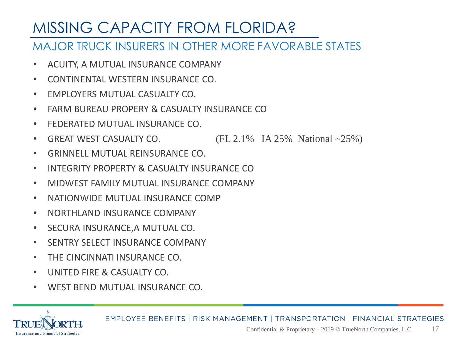## MISSING CAPACITY FROM FLORIDA?

#### MAJOR TRUCK INSURERS IN OTHER MORE FAVORABLE STATES

- ACUITY, A MUTUAL INSURANCE COMPANY
- CONTINENTAL WESTERN INSURANCE CO.
- EMPLOYERS MUTUAL CASUALTY CO.
- FARM BURFAU PROPERY & CASUALTY INSURANCE CO
- FEDERATED MUTUAL INSURANCE CO.
- GREAT WEST CASUALTY CO.  $\qquad \qquad$  (FL 2.1% IA 25% National ~25%)
- GRINNELL MUTUAL REINSURANCE CO.
- INTEGRITY PROPERTY & CASUALTY INSURANCE CO
- MIDWEST FAMILY MUTUAL INSURANCE COMPANY
- NATIONWIDE MUTUAL INSURANCE COMP
- NORTHLAND INSURANCE COMPANY
- SECURA INSURANCE,A MUTUAL CO.
- SENTRY SELECT INSURANCE COMPANY
- THE CINCINNATI INSURANCE CO.
- UNITED FIRE & CASUALTY CO.
- WEST BEND MUTUAL INSURANCE CO.

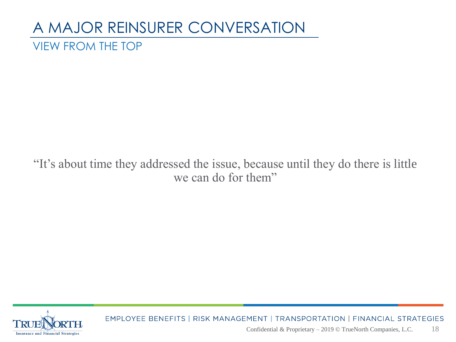### A MAJOR REINSURER CONVERSATION VIEW FROM THE TOP

### "It's about time they addressed the issue, because until they do there is little we can do for them"

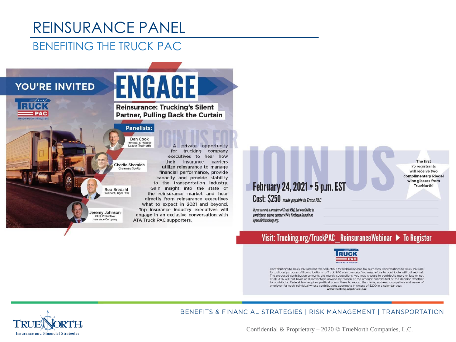# REINSURANCE PANEL

#### BENEFITING THE TRUCK PAC

#### **YOU'RE INVITED**



**ENGAGE Reinsurance: Trucking's Silent Partner, Pulling Back the Curtain** 

A

#### **Panelists:** Dan Cook

Principal & Practice Loader Truchlorth

Charlie Shamieh

**Rob Bredahl** resident. Tiger Ris

Jeremy Johnson CFO Protective Insurance Company

for trucking company executives to hear how their insurance carriers utilize reinsurance to manage financial performance, provide capacity and provide stability to the transportation industry. Gain insight into the state of the reinsurance market and hear directly from reinsurance executives what to expect in 2021 and beyond. Top insurance industry executives will engage in an exclusive conversation with **ATA Truck PAC supporters.** 

private opportunity

### February 24, 2021 . 5 p.m. EST

Cost: \$250 made payable to Truck PAC

If you are not a member of Truck PAC, but would like to participate, please contact ATA's Kathleen Gamble at kgamble@trucking.org.

#### Visit: Trucking.org/TruckPAC\_ReinsuranceWebinar ▶ To Register

The first

75 registrants

will receive two

complimentary Riedel

wine glasses from

**TrueNorth!** 



Contributions to Truck PAC are not tax deductible for federal income tax purposes. Contributions to Truck PAC are for political purposes. All contributions to Truck PAC are voluntary. You may refuse to contribute without reprisal. The proposed contribution amounts are merely suggestions; you may choose to contribute more or less or not at all. ATA will not favor or disadvantage anyone by reason of the amount contributed or the decision whether to contribute. Federal law requires political committees to report the name, address, occupation and name of employer for each individual whose contributions aggregate in excess of \$200 in a calendar year. www.trucking.org/truck-pac

**Insurance and Financial Strategies** 

BENEFITS & FINANCIAL STRATEGIES | RISK MANAGEMENT | TRANSPORTATION

Confidential & Proprietary – 2020 © TrueNorth Companies, L.C.